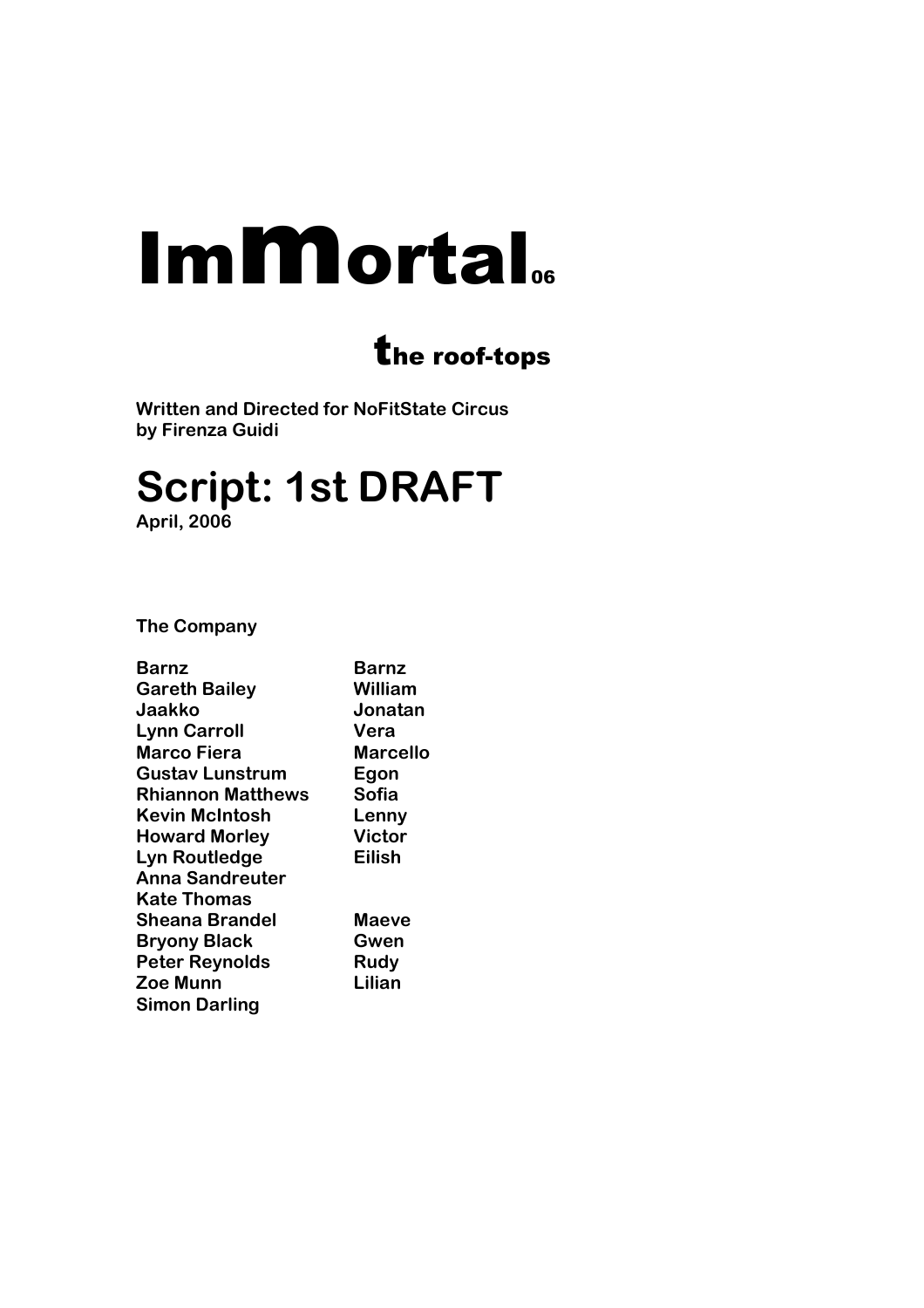# **Immortal**.

# the roof-tops

**Written and Directed for NoFitState Circus by Firenza Guidi** 

# **Script: 1st DRAFT April, 2006**

**The Company** 

| Barnz                    | Barnz           |
|--------------------------|-----------------|
| <b>Gareth Bailey</b>     | <b>William</b>  |
| Jaakko                   | Jonatan         |
| <b>Lynn Carroll</b>      | Vera            |
| <b>Marco Fiera</b>       | <b>Marcello</b> |
| Gustav Lunstrum          | Egon            |
| <b>Rhiannon Matthews</b> | Sofia           |
| <b>Kevin McIntosh</b>    | Lenny           |
| <b>Howard Morley</b>     | <b>Victor</b>   |
| Lyn Routledge            | <b>Eilish</b>   |
| <b>Anna Sandreuter</b>   |                 |
| Kate Thomas              |                 |
| Sheana Brandel           | Maeve           |
| <b>Bryony Black</b>      | Gwen            |
| <b>Peter Reynolds</b>    | Rudy            |
| <b>Zoe Munn</b>          | Lilian          |
| <b>Simon Darling</b>     |                 |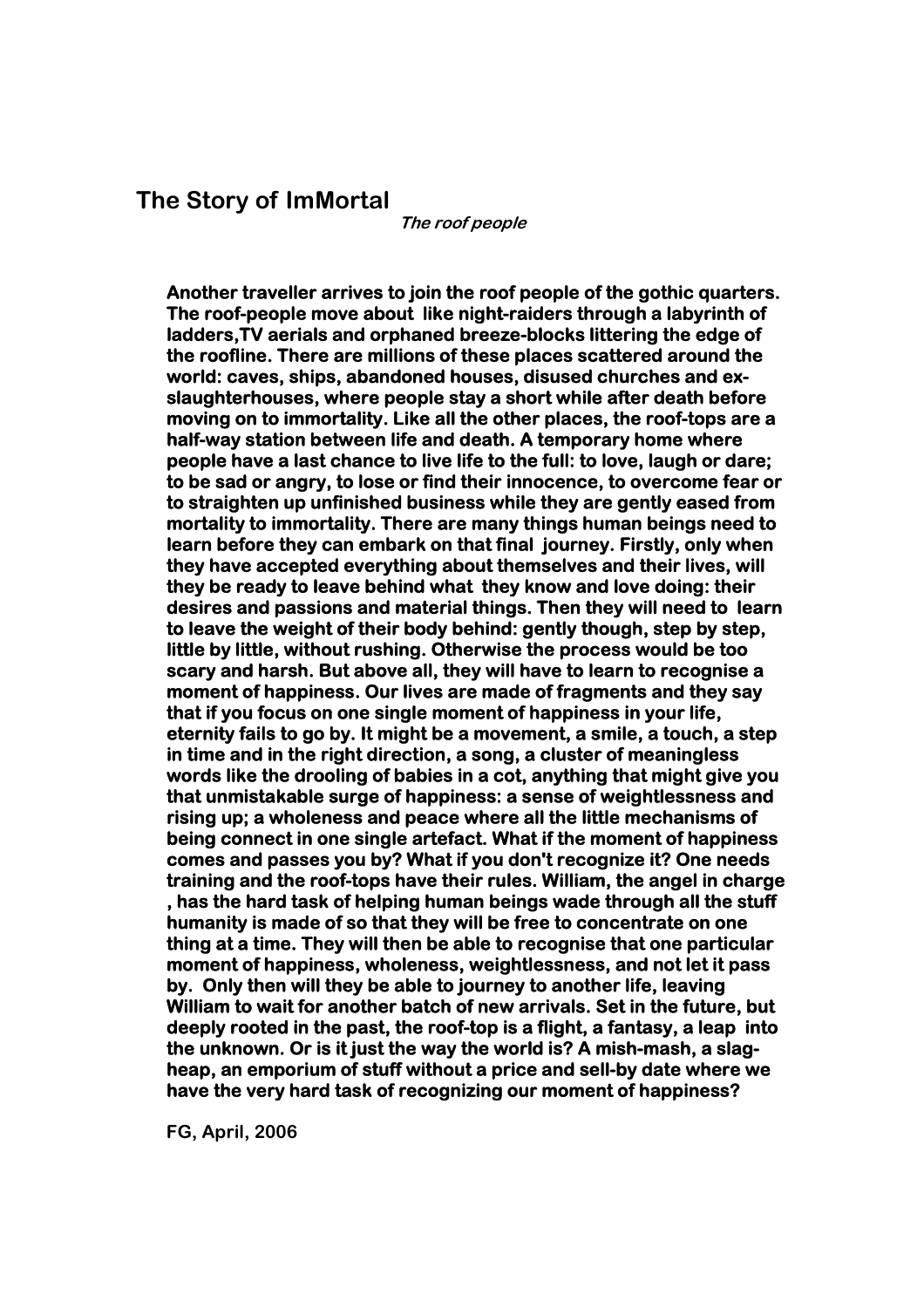## **The Story of ImMortal**

**The roof people** 

**Another traveller arrives to join the roof people of the gothic quarters. The roof-people move about like night-raiders through a labyrinth of ladders,TV aerials and orphaned breeze-blocks littering the edge of the roofline. There are millions of these places scattered around the world: caves, ships, abandoned houses, disused churches and exslaughterhouses, where people stay a short while after death before moving on to immortality. Like all the other places, the roof-tops are a half-way station between life and death. A temporary home where people have a last chance to live life to the full: to love, laugh or dare; to be sad or angry, to lose or find their innocence, to overcome fear or to straighten up unfinished business while they are gently eased from mortality to immortality. There are many things human beings need to learn before they can embark on that final journey. Firstly, only when they have accepted everything about themselves and their lives, will they be ready to leave behind what they know and love doing: their desires and passions and material things. Then they will need to learn to leave the weight of their body behind: gently though, step by step, little by little, without rushing. Otherwise the process would be too scary and harsh. But above all, they will have to learn to recognise a moment of happiness. Our lives are made of fragments and they say that if you focus on one single moment of happiness in your life, eternity fails to go by. It might be a movement, a smile, a touch, a step in time and in the right direction, a song, a cluster of meaningless words like the drooling of babies in a cot, anything that might give you that unmistakable surge of happiness: a sense of weightlessness and rising up; a wholeness and peace where all the little mechanisms of being connect in one single artefact. What if the moment of happiness comes and passes you by? What if you don't recognize it? One needs training and the roof-tops have their rules. William, the angel in charge , has the hard task of helping human beings wade through all the stuff humanity is made of so that they will be free to concentrate on one thing at a time. They will then be able to recognise that one particular moment of happiness, wholeness, weightlessness, and not let it pass by. Only then will they be able to journey to another life, leaving William to wait for another batch of new arrivals. Set in the future, but deeply rooted in the past, the roof-top is a flight, a fantasy, a leap into the unknown. Or is it just the way the world is? A mish-mash, a slagheap, an emporium of stuff without a price and sell-by date where we have the very hard task of recognizing our moment of happiness?** 

**FG, April, 2006**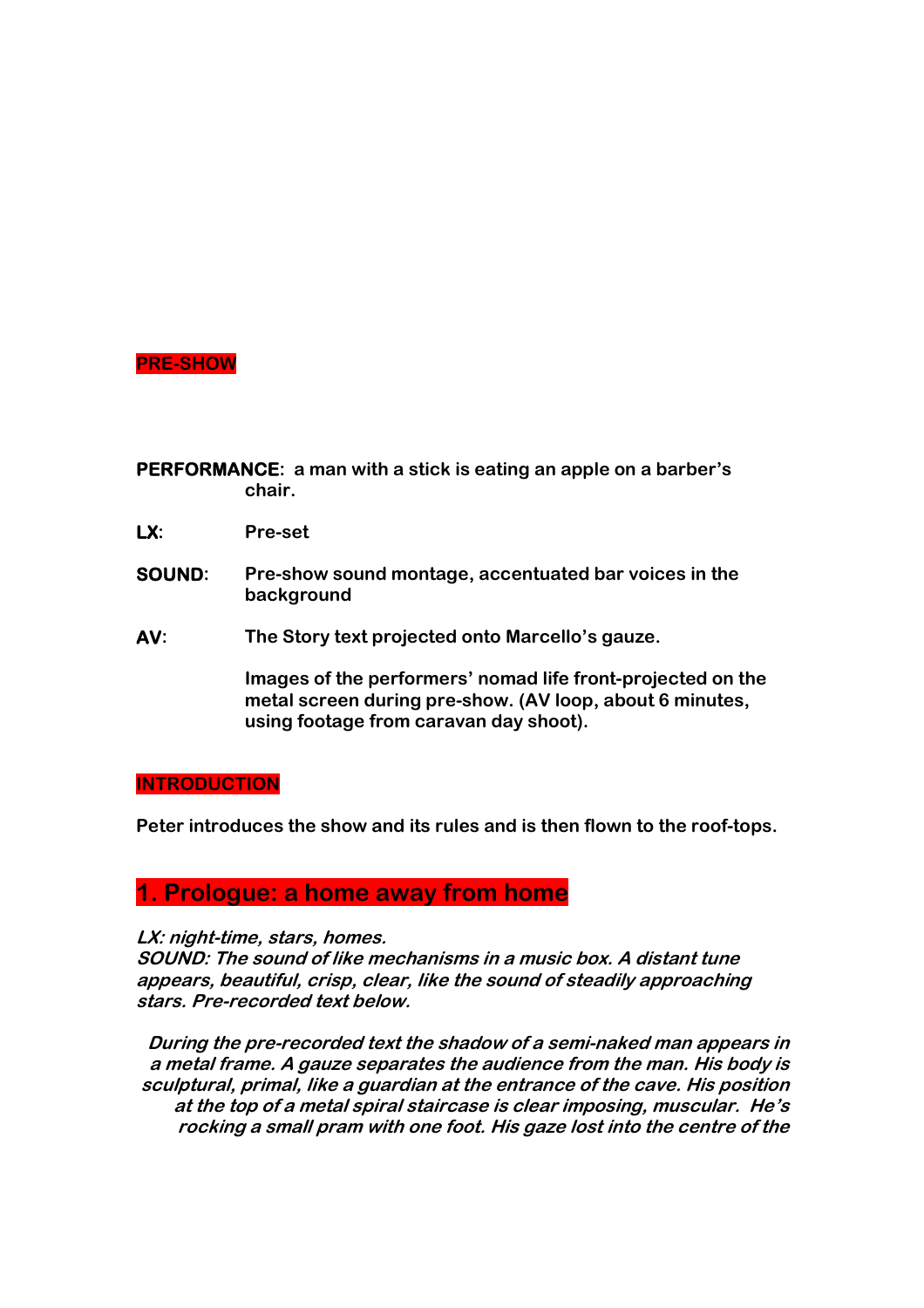## **PRE-SHOW**

**PERFORMANCE: a man with a stick is eating an apple on a barber's chair.** 

- **LX: Pre-set**
- **SOUND: Pre-show sound montage, accentuated bar voices in the background**
- **AV: The Story text projected onto Marcello's gauze.**

**Images of the performers' nomad life front-projected on the metal screen during pre-show. (AV loop, about 6 minutes, using footage from caravan day shoot).** 

#### **INTRODUCTION**

**Peter introduces the show and its rules and is then flown to the roof-tops.** 

## **1. Prologue: a home away from home**

**LX: night-time, stars, homes.** 

**SOUND: The sound of like mechanisms in a music box. A distant tune appears, beautiful, crisp, clear, like the sound of steadily approaching stars. Pre-recorded text below.** 

**During the pre-recorded text the shadow of a semi-naked man appears in a metal frame. A gauze separates the audience from the man. His body is sculptural, primal, like a guardian at the entrance of the cave. His position at the top of a metal spiral staircase is clear imposing, muscular. He's rocking a small pram with one foot. His gaze lost into the centre of the**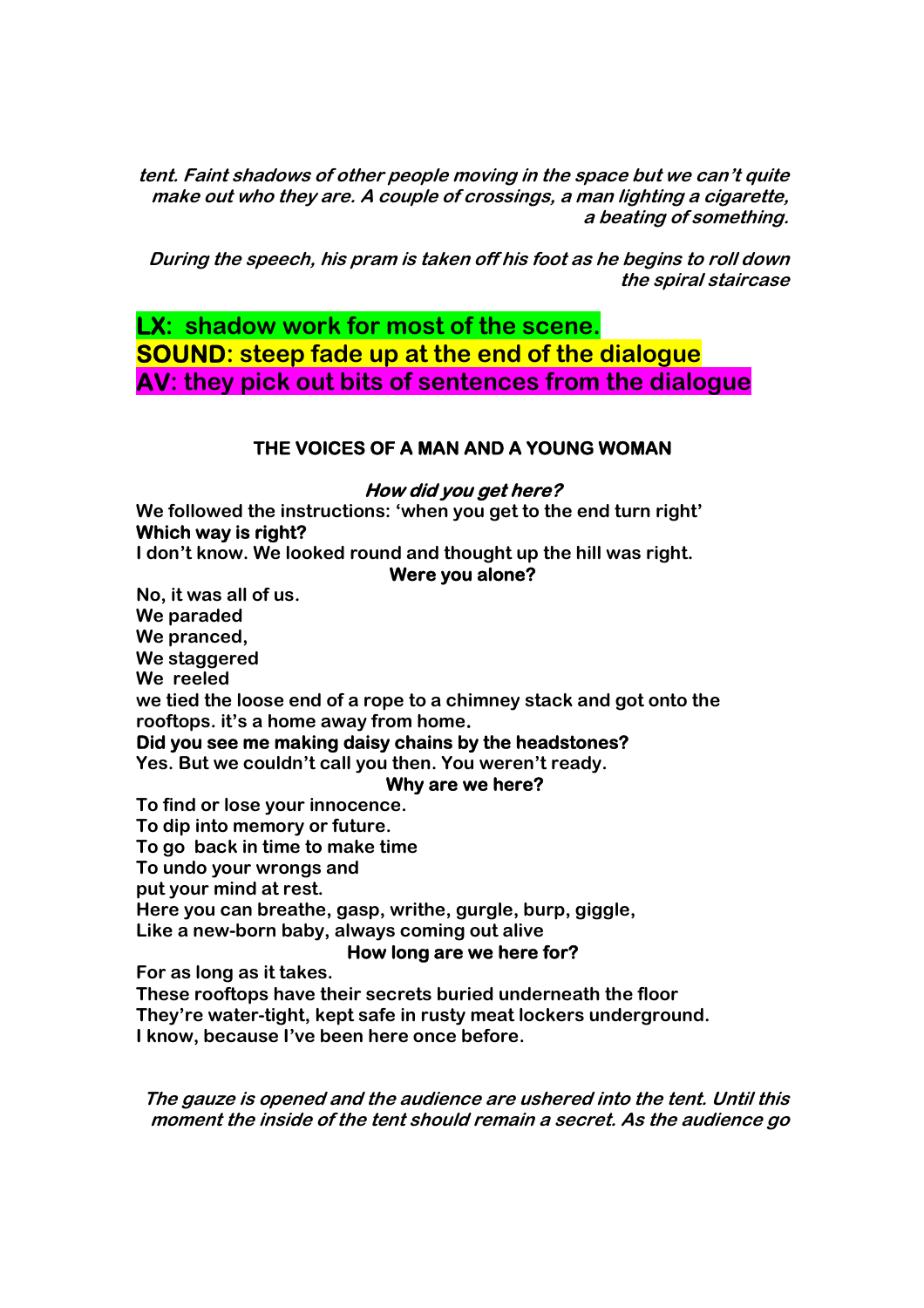**tent. Faint shadows of other people moving in the space but we can't quite make out who they are. A couple of crossings, a man lighting a cigarette, a beating of something.** 

**During the speech, his pram is taken off his foot as he begins to roll down the spiral staircase** 

**LX: shadow work for most of the scene. SOUND: steep fade up at the end of the dialogue AV: they pick out bits of sentences from the dialogue**

## **THE VOICES OF A MAN AND A YOUNG WOMAN**

#### **How did you get here?**

**We followed the instructions: 'when you get to the end turn right' Which way is right?** 

**I don't know. We looked round and thought up the hill was right.** 

#### **Were you alone?**

**No, it was all of us. We paraded We pranced, We staggered We reeled we tied the loose end of a rope to a chimney stack and got onto the rooftops. it's a home away from home. Did you see me making daisy chains by the headstones? Yes. But we couldn't call you then. You weren't ready. Why are we here? To find or lose your innocence. To dip into memory or future.** 

**To go back in time to make time To undo your wrongs and put your mind at rest. Here you can breathe, gasp, writhe, gurgle, burp, giggle, Like a new-born baby, always coming out alive** 

#### **How long are we here for?**

**For as long as it takes.** 

**These rooftops have their secrets buried underneath the floor They're water-tight, kept safe in rusty meat lockers underground. I know, because I've been here once before.** 

**The gauze is opened and the audience are ushered into the tent. Until this moment the inside of the tent should remain a secret. As the audience go**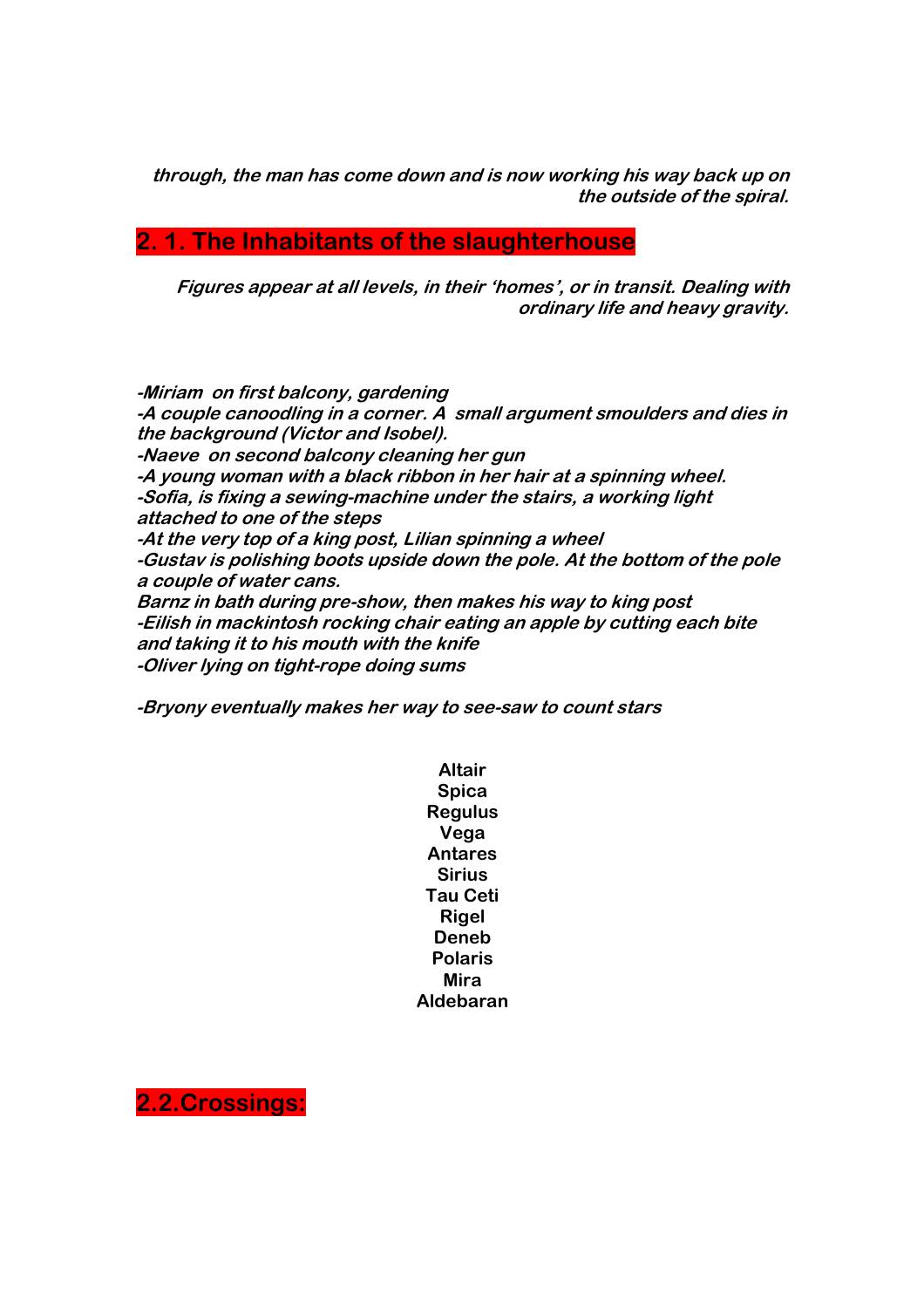**through, the man has come down and is now working his way back up on the outside of the spiral.** 

# **2. 1. The Inhabitants of the slaughterhouse**

**Figures appear at all levels, in their 'homes', or in transit. Dealing with ordinary life and heavy gravity.** 

**-Miriam on first balcony, gardening -A couple canoodling in a corner. A small argument smoulders and dies in the background (Victor and Isobel). -Naeve on second balcony cleaning her gun -A young woman with a black ribbon in her hair at a spinning wheel. -Sofia, is fixing a sewing-machine under the stairs, a working light attached to one of the steps -At the very top of a king post, Lilian spinning a wheel -Gustav is polishing boots upside down the pole. At the bottom of the pole a couple of water cans. Barnz in bath during pre-show, then makes his way to king post -Eilish in mackintosh rocking chair eating an apple by cutting each bite and taking it to his mouth with the knife -Oliver lying on tight-rope doing sums** 

**-Bryony eventually makes her way to see-saw to count stars** 

**Altair Spica Regulus Vega Antares Sirius Tau Ceti Rigel Deneb Polaris Mira Aldebaran** 

**2.2.Crossings:**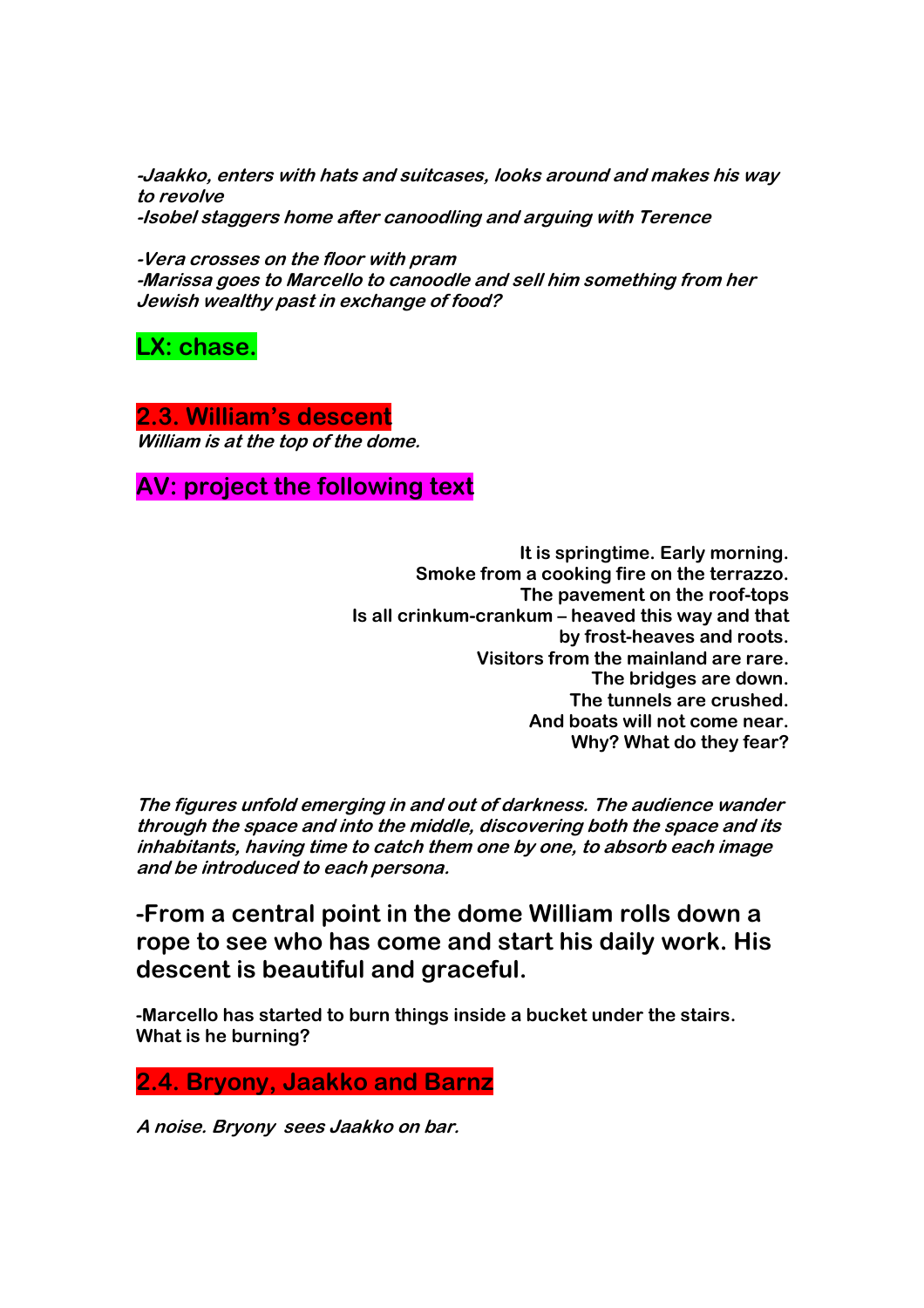**-Jaakko, enters with hats and suitcases, looks around and makes his way to revolve -Isobel staggers home after canoodling and arguing with Terence** 

**-Vera crosses on the floor with pram** 

**-Marissa goes to Marcello to canoodle and sell him something from her Jewish wealthy past in exchange of food?** 

**LX: chase.** 

**2.3. William's descent William is at the top of the dome.** 

**AV: project the following text** 

**It is springtime. Early morning. Smoke from a cooking fire on the terrazzo. The pavement on the roof-tops Is all crinkum-crankum – heaved this way and that by frost-heaves and roots. Visitors from the mainland are rare. The bridges are down. The tunnels are crushed. And boats will not come near. Why? What do they fear?** 

**The figures unfold emerging in and out of darkness. The audience wander through the space and into the middle, discovering both the space and its inhabitants, having time to catch them one by one, to absorb each image and be introduced to each persona.** 

**-From a central point in the dome William rolls down a rope to see who has come and start his daily work. His descent is beautiful and graceful.** 

**-Marcello has started to burn things inside a bucket under the stairs. What is he burning?** 

**2.4. Bryony, Jaakko and Barnz** 

**A noise. Bryony sees Jaakko on bar.**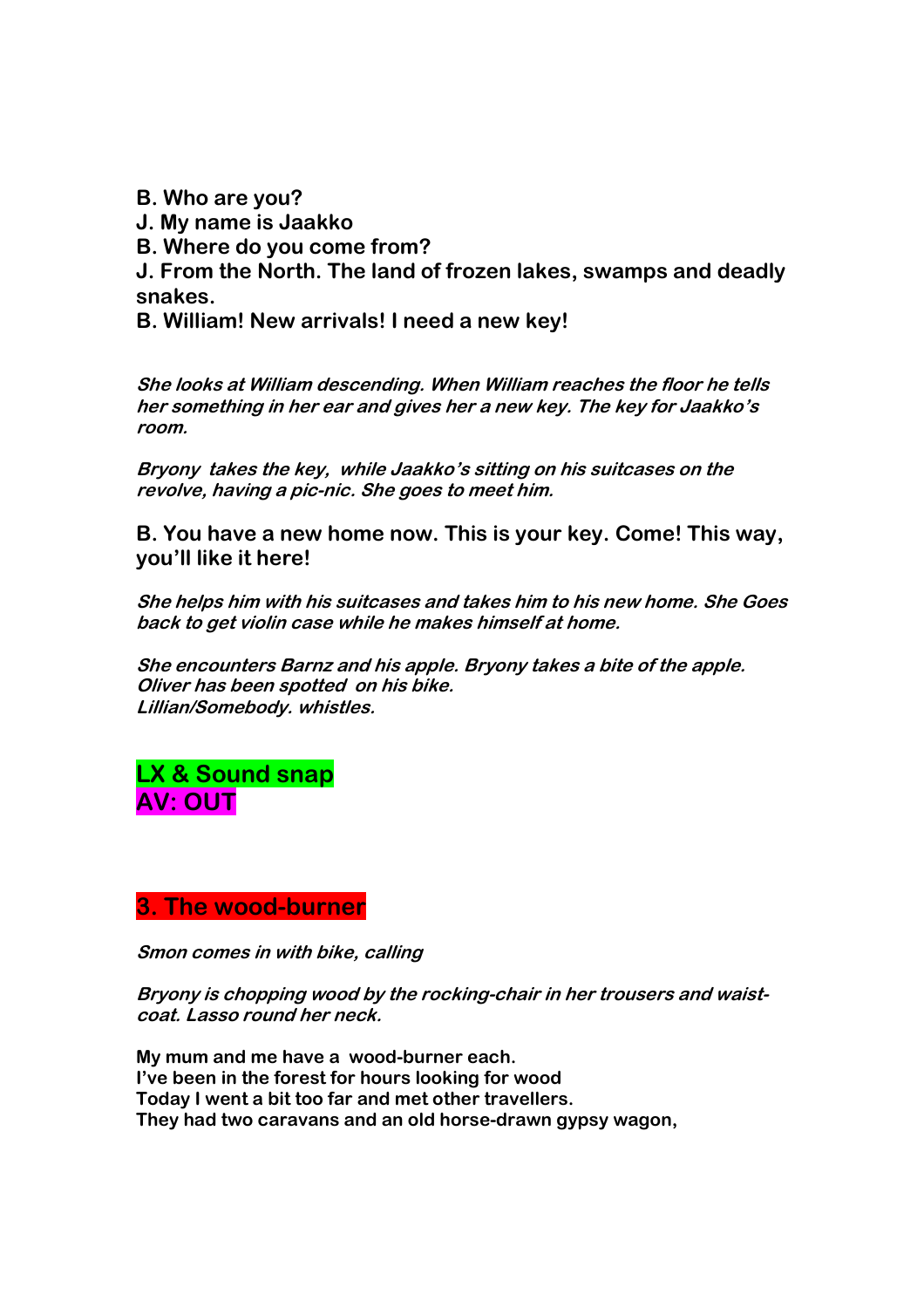**B. Who are you? J. My name is Jaakko B. Where do you come from? J. From the North. The land of frozen lakes, swamps and deadly snakes. B. William! New arrivals! I need a new key!** 

**She looks at William descending. When William reaches the floor he tells her something in her ear and gives her a new key. The key for Jaakko's room.** 

**Bryony takes the key, while Jaakko's sitting on his suitcases on the revolve, having a pic-nic. She goes to meet him.** 

**B. You have a new home now. This is your key. Come! This way, you'll like it here!** 

**She helps him with his suitcases and takes him to his new home. She Goes back to get violin case while he makes himself at home.** 

**She encounters Barnz and his apple. Bryony takes a bite of the apple. Oliver has been spotted on his bike. Lillian/Somebody. whistles.** 

**LX & Sound snap AV: OUT** 

## **3. The wood-burner**

**Smon comes in with bike, calling** 

**Bryony is chopping wood by the rocking-chair in her trousers and waistcoat. Lasso round her neck.** 

**My mum and me have a wood-burner each. I've been in the forest for hours looking for wood Today I went a bit too far and met other travellers. They had two caravans and an old horse-drawn gypsy wagon,**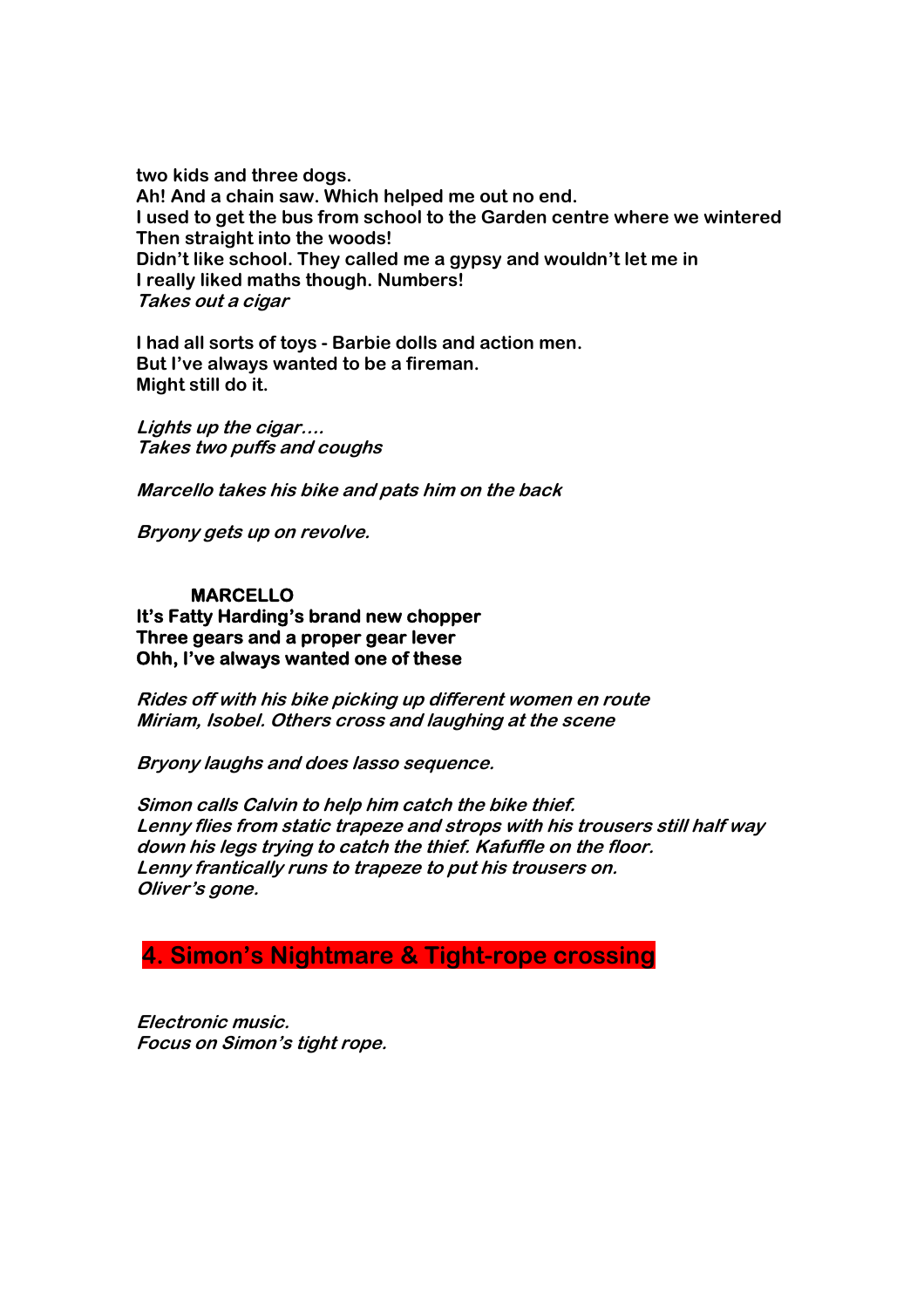**two kids and three dogs. Ah! And a chain saw. Which helped me out no end. I used to get the bus from school to the Garden centre where we wintered Then straight into the woods! Didn't like school. They called me a gypsy and wouldn't let me in I really liked maths though. Numbers! Takes out a cigar** 

**I had all sorts of toys - Barbie dolls and action men. But I've always wanted to be a fireman. Might still do it.** 

**Lights up the cigar…. Takes two puffs and coughs** 

**Marcello takes his bike and pats him on the back** 

**Bryony gets up on revolve.** 

## **MARCELLO**

**It's Fatty Harding's brand new chopper Three gears and a proper gear lever Ohh, I've always wanted one of these** 

**Rides off with his bike picking up different women en route Miriam, Isobel. Others cross and laughing at the scene** 

**Bryony laughs and does lasso sequence.** 

**Simon calls Calvin to help him catch the bike thief. Lenny flies from static trapeze and strops with his trousers still half way down his legs trying to catch the thief. Kafuffle on the floor. Lenny frantically runs to trapeze to put his trousers on. Oliver's gone.** 

# **4. Simon's Nightmare & Tight-rope crossing**

**Electronic music. Focus on Simon's tight rope.**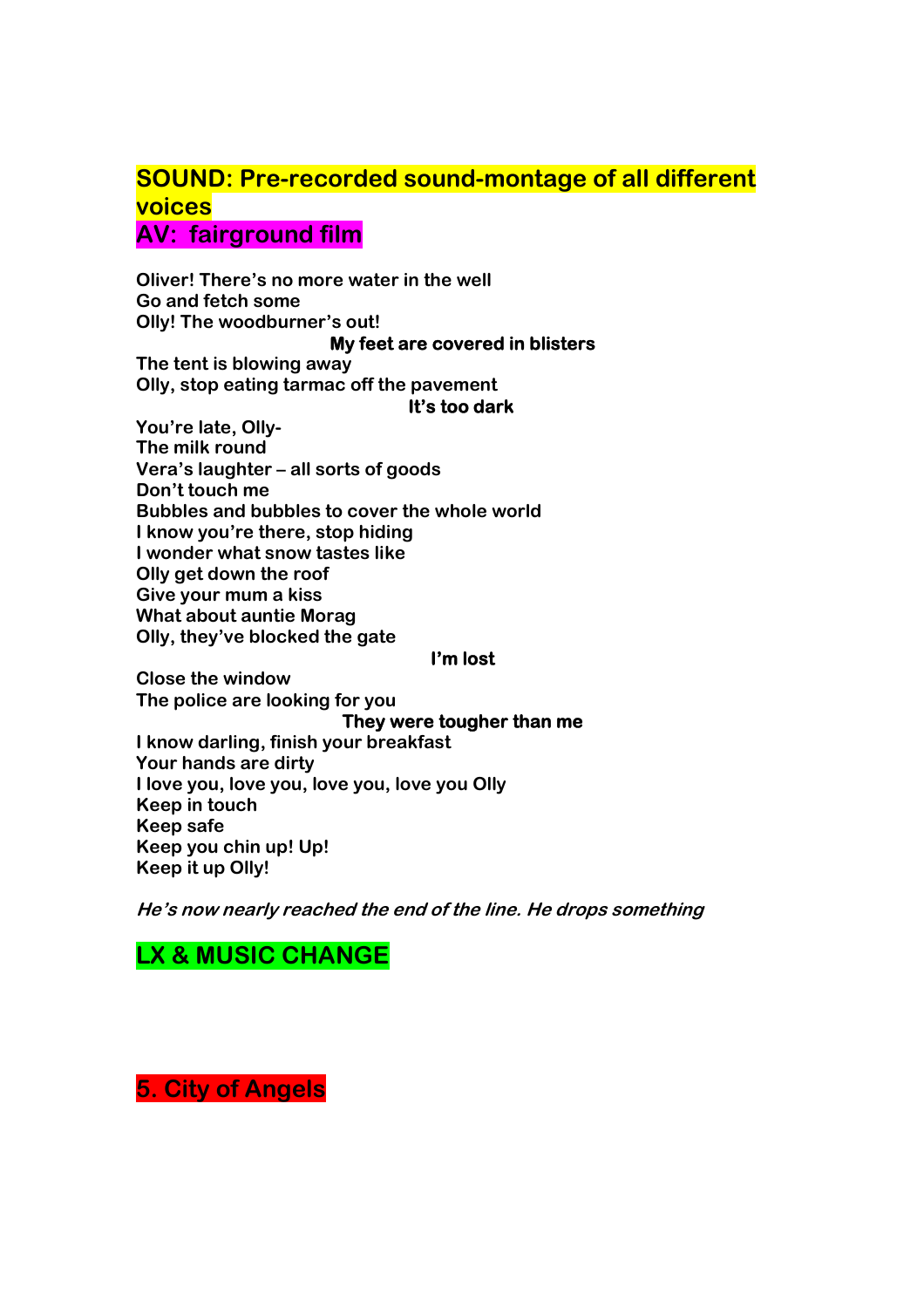# **SOUND: Pre-recorded sound-montage of all different voices**

**AV: fairground film** 

**Oliver! There's no more water in the well Go and fetch some Olly! The woodburner's out! My feet are covered in blisters** 

**The tent is blowing away Olly, stop eating tarmac off the pavement** 

## **It's too dark**

**You're late, Olly-The milk round Vera's laughter – all sorts of goods Don't touch me Bubbles and bubbles to cover the whole world I know you're there, stop hiding I wonder what snow tastes like Olly get down the roof Give your mum a kiss What about auntie Morag Olly, they've blocked the gate** 

## **I'm lost**

**Close the window The police are looking for you** 

**They were tougher than me** 

**I know darling, finish your breakfast Your hands are dirty I love you, love you, love you, love you Olly Keep in touch Keep safe Keep you chin up! Up! Keep it up Olly!** 

**He's now nearly reached the end of the line. He drops something** 

# **LX & MUSIC CHANGE**

**5. City of Angels**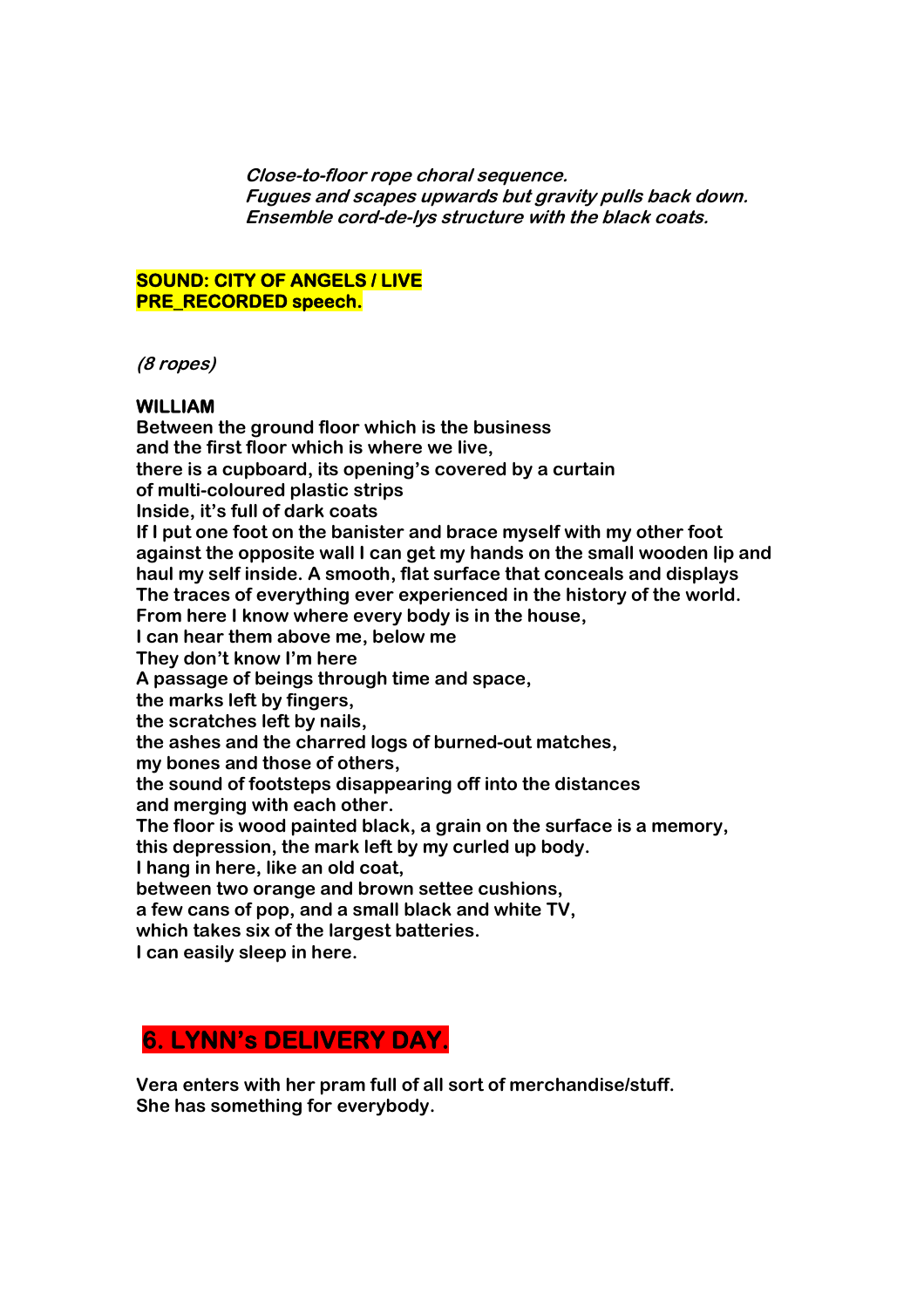**Close-to-floor rope choral sequence. Fugues and scapes upwards but gravity pulls back down. Ensemble cord-de-lys structure with the black coats.** 

## **SOUND: CITY OF ANGELS / LIVE PRE\_RECORDED speech.**

**(8 ropes)** 

## **WILLIAM**

**Between the ground floor which is the business and the first floor which is where we live, there is a cupboard, its opening's covered by a curtain of multi-coloured plastic strips Inside, it's full of dark coats If I put one foot on the banister and brace myself with my other foot against the opposite wall I can get my hands on the small wooden lip and haul my self inside. A smooth, flat surface that conceals and displays The traces of everything ever experienced in the history of the world. From here I know where every body is in the house, I can hear them above me, below me They don't know I'm here A passage of beings through time and space, the marks left by fingers, the scratches left by nails, the ashes and the charred logs of burned-out matches, my bones and those of others, the sound of footsteps disappearing off into the distances and merging with each other. The floor is wood painted black, a grain on the surface is a memory, this depression, the mark left by my curled up body. I hang in here, like an old coat, between two orange and brown settee cushions, a few cans of pop, and a small black and white TV, which takes six of the largest batteries. I can easily sleep in here.** 

# **6. LYNN's DELIVERY DAY.**

**Vera enters with her pram full of all sort of merchandise/stuff. She has something for everybody.**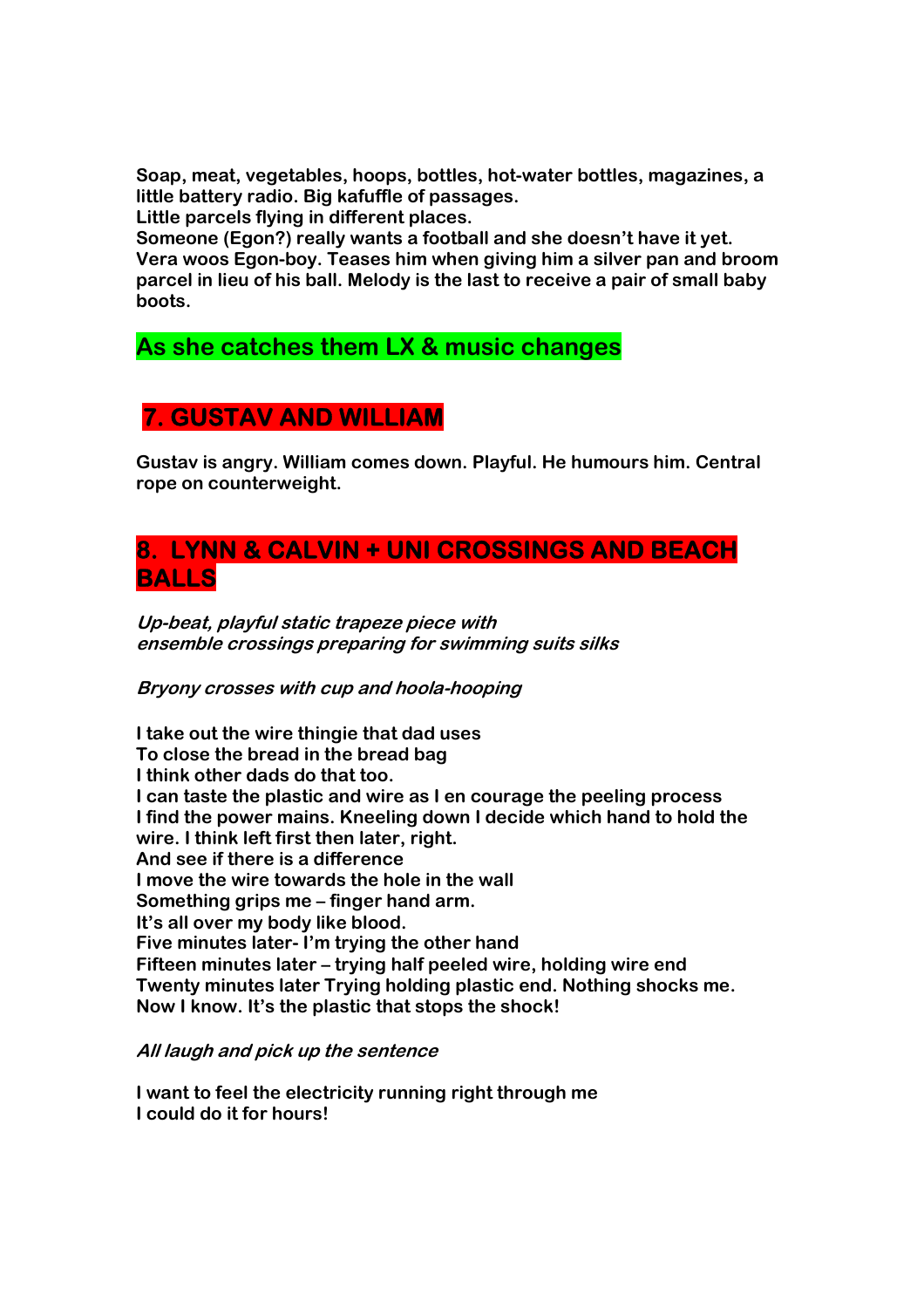**Soap, meat, vegetables, hoops, bottles, hot-water bottles, magazines, a little battery radio. Big kafuffle of passages.** 

**Little parcels flying in different places.** 

**Someone (Egon?) really wants a football and she doesn't have it yet. Vera woos Egon-boy. Teases him when giving him a silver pan and broom parcel in lieu of his ball. Melody is the last to receive a pair of small baby boots.** 

# **As she catches them LX & music changes**

# **7. GUSTAV AND WILLIAM**

**Gustav is angry. William comes down. Playful. He humours him. Central rope on counterweight.** 

# **8. LYNN & CALVIN + UNI CROSSINGS AND BEACH BALLS**

**Up-beat, playful static trapeze piece with ensemble crossings preparing for swimming suits silks** 

**Bryony crosses with cup and hoola-hooping** 

**I take out the wire thingie that dad uses To close the bread in the bread bag I think other dads do that too. I can taste the plastic and wire as I en courage the peeling process I find the power mains. Kneeling down I decide which hand to hold the wire. I think left first then later, right. And see if there is a difference I move the wire towards the hole in the wall Something grips me – finger hand arm. It's all over my body like blood. Five minutes later- I'm trying the other hand Fifteen minutes later – trying half peeled wire, holding wire end Twenty minutes later Trying holding plastic end. Nothing shocks me. Now I know. It's the plastic that stops the shock!** 

**All laugh and pick up the sentence** 

**I want to feel the electricity running right through me I could do it for hours!**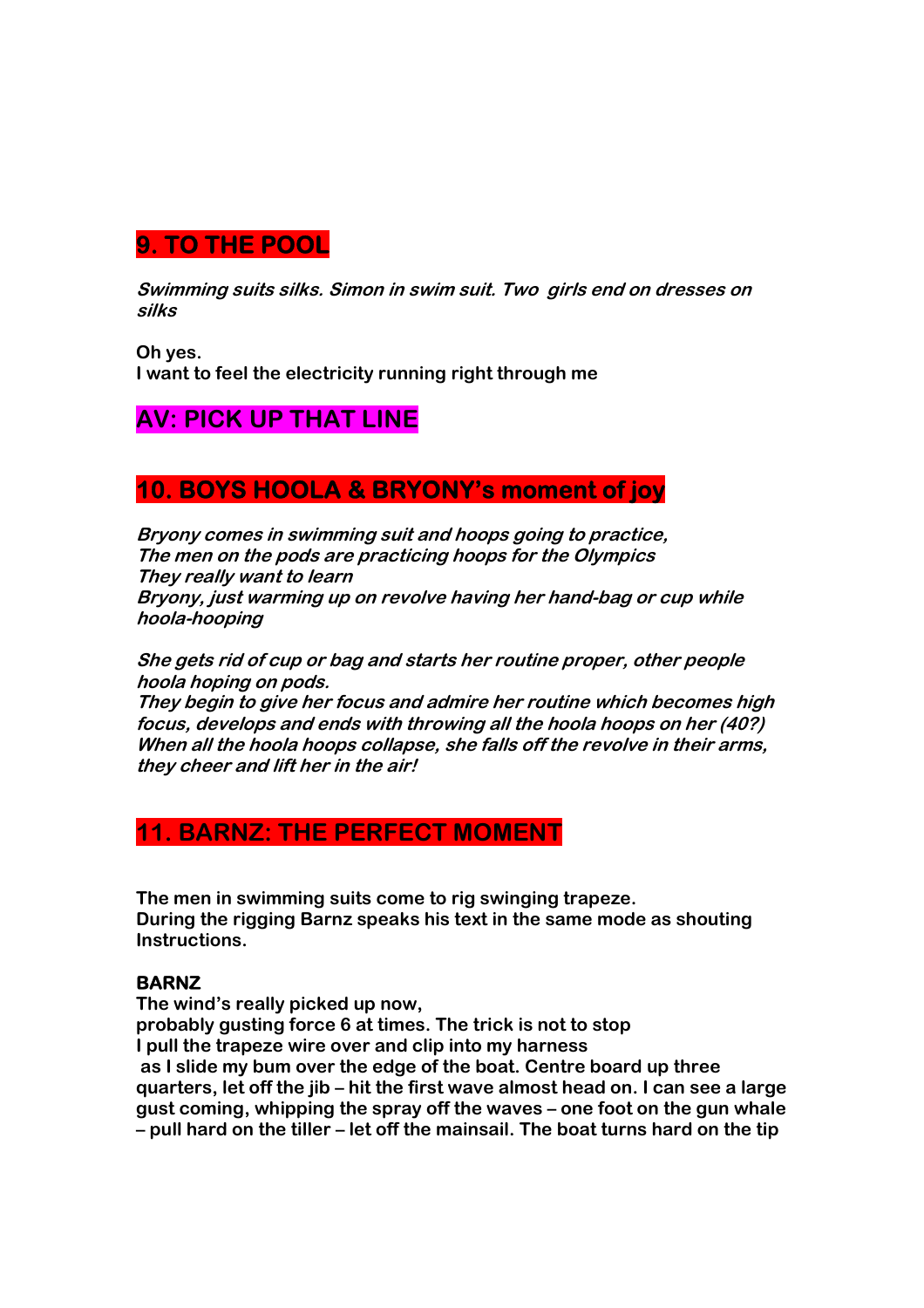# **9. TO THE POOL**

**Swimming suits silks. Simon in swim suit. Two girls end on dresses on silks** 

**Oh yes. I want to feel the electricity running right through me** 

# **AV: PICK UP THAT LINE**

# **10. BOYS HOOLA & BRYONY's moment of joy**

**Bryony comes in swimming suit and hoops going to practice, The men on the pods are practicing hoops for the Olympics They really want to learn Bryony, just warming up on revolve having her hand-bag or cup while hoola-hooping** 

**She gets rid of cup or bag and starts her routine proper, other people hoola hoping on pods.** 

**They begin to give her focus and admire her routine which becomes high focus, develops and ends with throwing all the hoola hoops on her (40?) When all the hoola hoops collapse, she falls off the revolve in their arms, they cheer and lift her in the air!** 

# **11. BARNZ: THE PERFECT MOMENT**

**The men in swimming suits come to rig swinging trapeze. During the rigging Barnz speaks his text in the same mode as shouting Instructions.** 

## **BARNZ**

**The wind's really picked up now, probably gusting force 6 at times. The trick is not to stop I pull the trapeze wire over and clip into my harness as I slide my bum over the edge of the boat. Centre board up three quarters, let off the jib – hit the first wave almost head on. I can see a large gust coming, whipping the spray off the waves – one foot on the gun whale – pull hard on the tiller – let off the mainsail. The boat turns hard on the tip**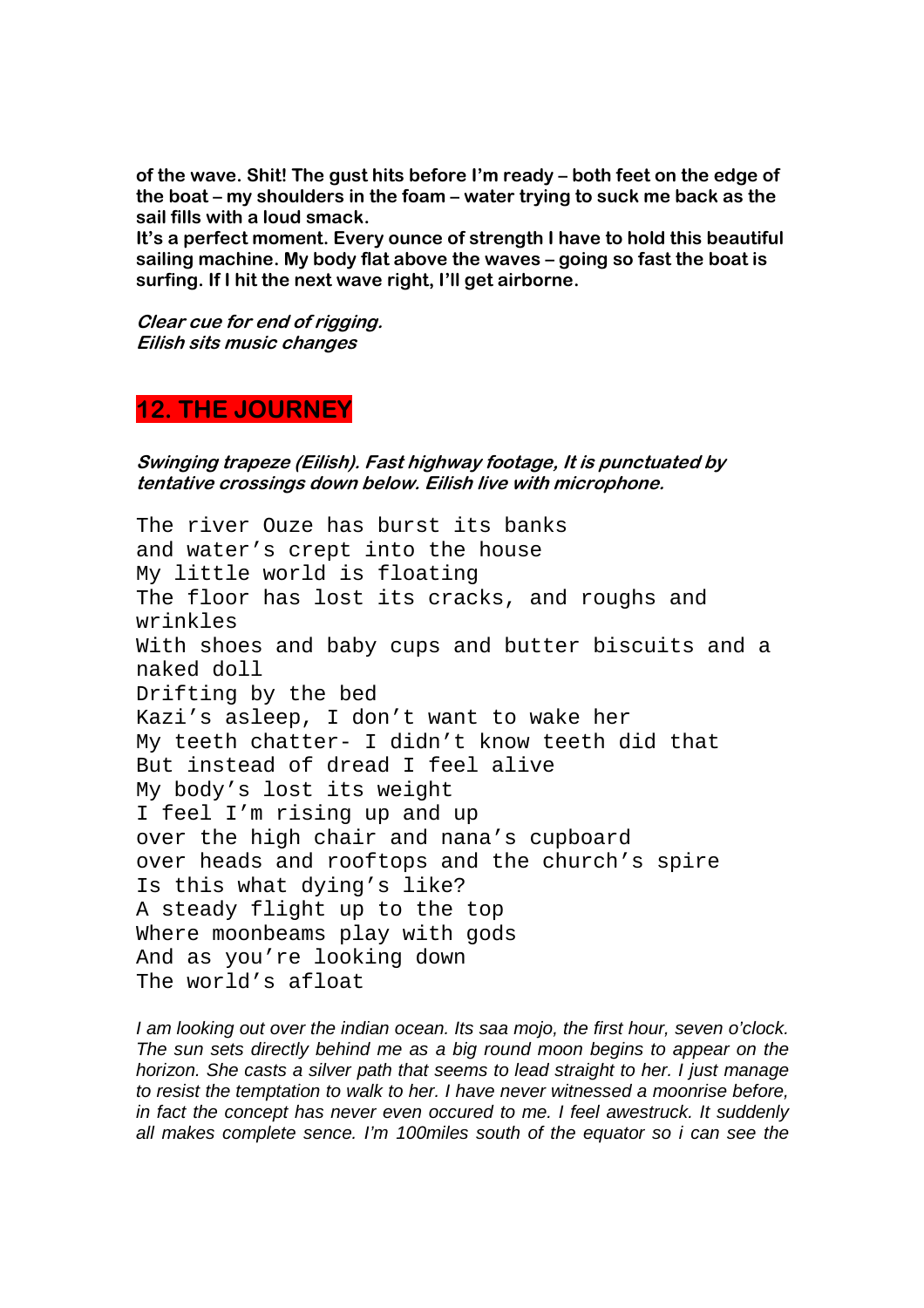**of the wave. Shit! The gust hits before I'm ready – both feet on the edge of the boat – my shoulders in the foam – water trying to suck me back as the sail fills with a loud smack.** 

**It's a perfect moment. Every ounce of strength I have to hold this beautiful sailing machine. My body flat above the waves – going so fast the boat is surfing. If I hit the next wave right, I'll get airborne.** 

**Clear cue for end of rigging. Eilish sits music changes**

# **12. THE JOURNEY**

**Swinging trapeze (Eilish). Fast highway footage, It is punctuated by tentative crossings down below. Eilish live with microphone.** 

The river Ouze has burst its banks and water's crept into the house My little world is floating The floor has lost its cracks, and roughs and wrinkles With shoes and baby cups and butter biscuits and a naked doll Drifting by the bed Kazi's asleep, I don't want to wake her My teeth chatter- I didn't know teeth did that But instead of dread I feel alive My body's lost its weight I feel I'm rising up and up over the high chair and nana's cupboard over heads and rooftops and the church's spire Is this what dying's like? A steady flight up to the top Where moonbeams play with gods And as you're looking down The world's afloat

I am looking out over the indian ocean. Its saa mojo, the first hour, seven o'clock. The sun sets directly behind me as a big round moon begins to appear on the horizon. She casts a silver path that seems to lead straight to her. I just manage to resist the temptation to walk to her. I have never witnessed a moonrise before, in fact the concept has never even occured to me. I feel awestruck. It suddenly all makes complete sence. I'm 100miles south of the equator so i can see the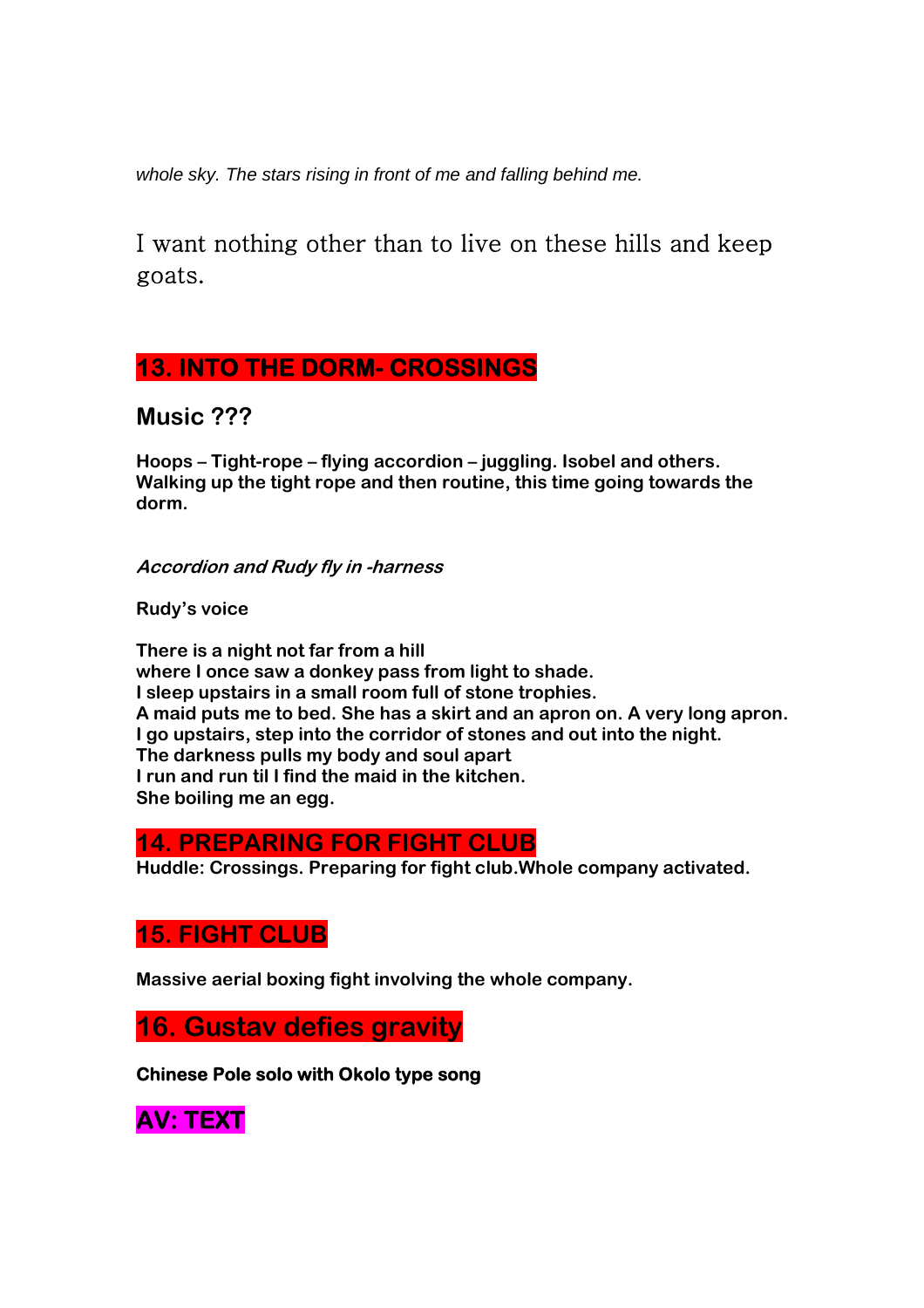whole sky. The stars rising in front of me and falling behind me.

I want nothing other than to live on these hills and keep goats.

# **13. INTO THE DORM- CROSSINGS**

**Music ???** 

**Hoops – Tight-rope – flying accordion – juggling. Isobel and others. Walking up the tight rope and then routine, this time going towards the dorm.** 

**Accordion and Rudy fly in -harness** 

**Rudy's voice** 

**There is a night not far from a hill where I once saw a donkey pass from light to shade. I sleep upstairs in a small room full of stone trophies. A maid puts me to bed. She has a skirt and an apron on. A very long apron. I go upstairs, step into the corridor of stones and out into the night. The darkness pulls my body and soul apart I run and run til I find the maid in the kitchen. She boiling me an egg.** 

## **14. PREPARING FOR FIGHT CLUB**

**Huddle: Crossings. Preparing for fight club.Whole company activated.** 

# **15. FIGHT CLUB**

**Massive aerial boxing fight involving the whole company.** 

**16. Gustav defies gravity** 

**Chinese Pole solo with Okolo type song** 

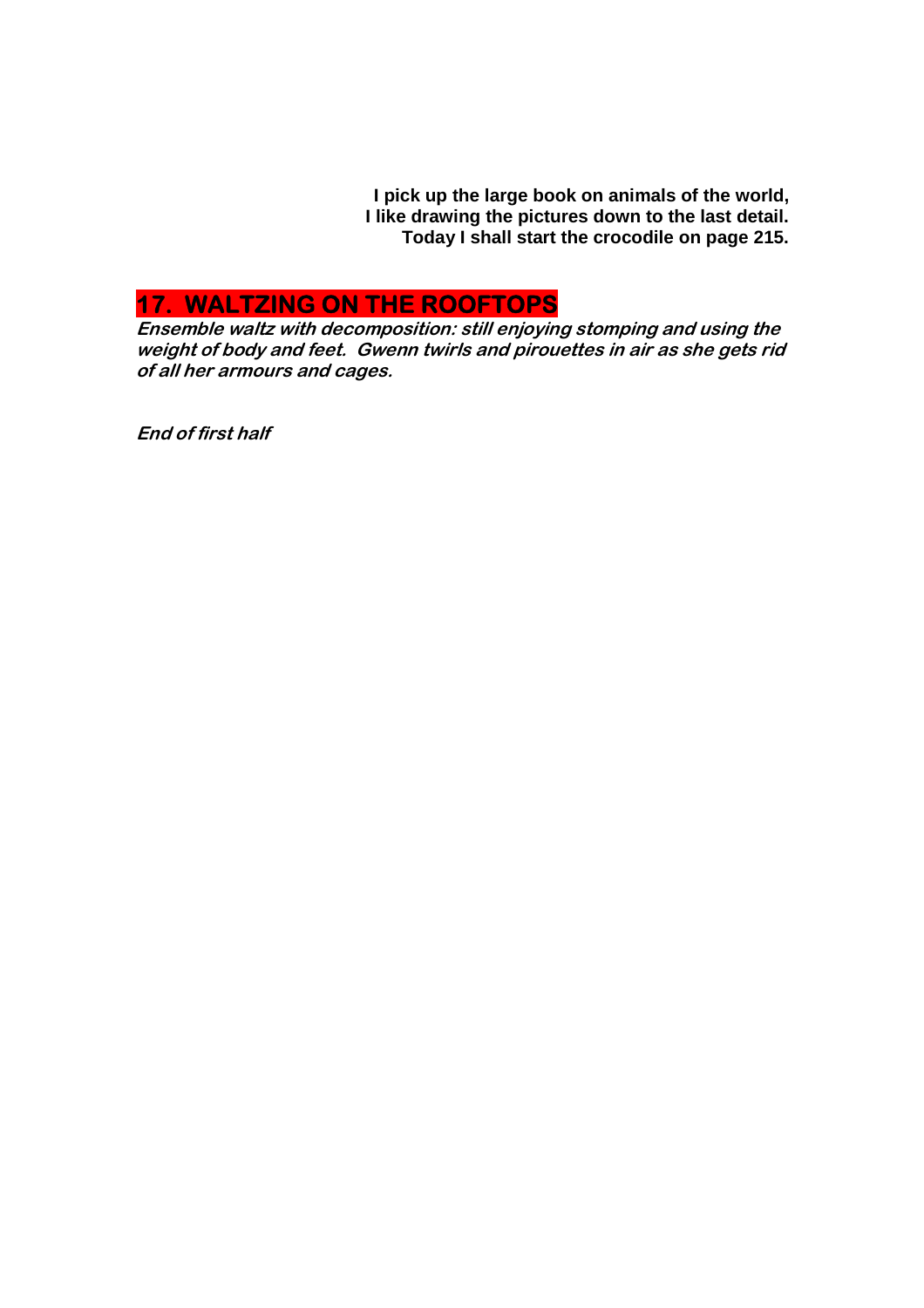**I pick up the large book on animals of the world, I like drawing the pictures down to the last detail. Today I shall start the crocodile on page 215.** 

# **17. WALTZING ON THE ROOFTOPS**

**Ensemble waltz with decomposition: still enjoying stomping and using the weight of body and feet. Gwenn twirls and pirouettes in air as she gets rid of all her armours and cages.** 

**End of first half**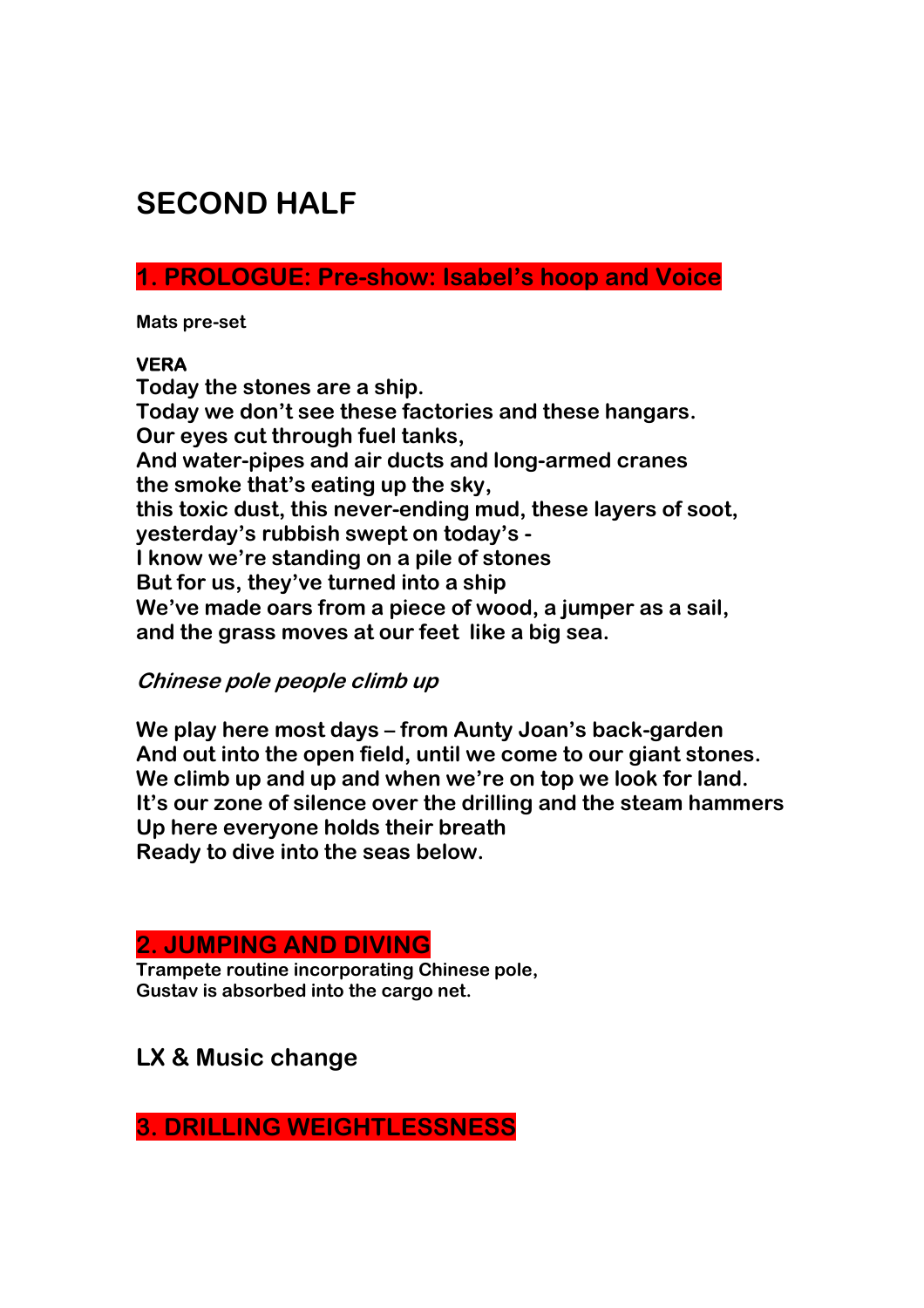# **SECOND HALF**

**1. PROLOGUE: Pre-show: Isabel's hoop and Voice** 

**Mats pre-set** 

## **VERA**

**Today the stones are a ship. Today we don't see these factories and these hangars. Our eyes cut through fuel tanks, And water-pipes and air ducts and long-armed cranes the smoke that's eating up the sky, this toxic dust, this never-ending mud, these layers of soot, yesterday's rubbish swept on today's - I know we're standing on a pile of stones But for us, they've turned into a ship We've made oars from a piece of wood, a jumper as a sail, and the grass moves at our feet like a big sea.** 

## **Chinese pole people climb up**

**We play here most days – from Aunty Joan's back-garden And out into the open field, until we come to our giant stones. We climb up and up and when we're on top we look for land. It's our zone of silence over the drilling and the steam hammers Up here everyone holds their breath Ready to dive into the seas below.** 

# **2. JUMPING AND DIVING**

**Trampete routine incorporating Chinese pole, Gustav is absorbed into the cargo net.** 

# **LX & Music change**

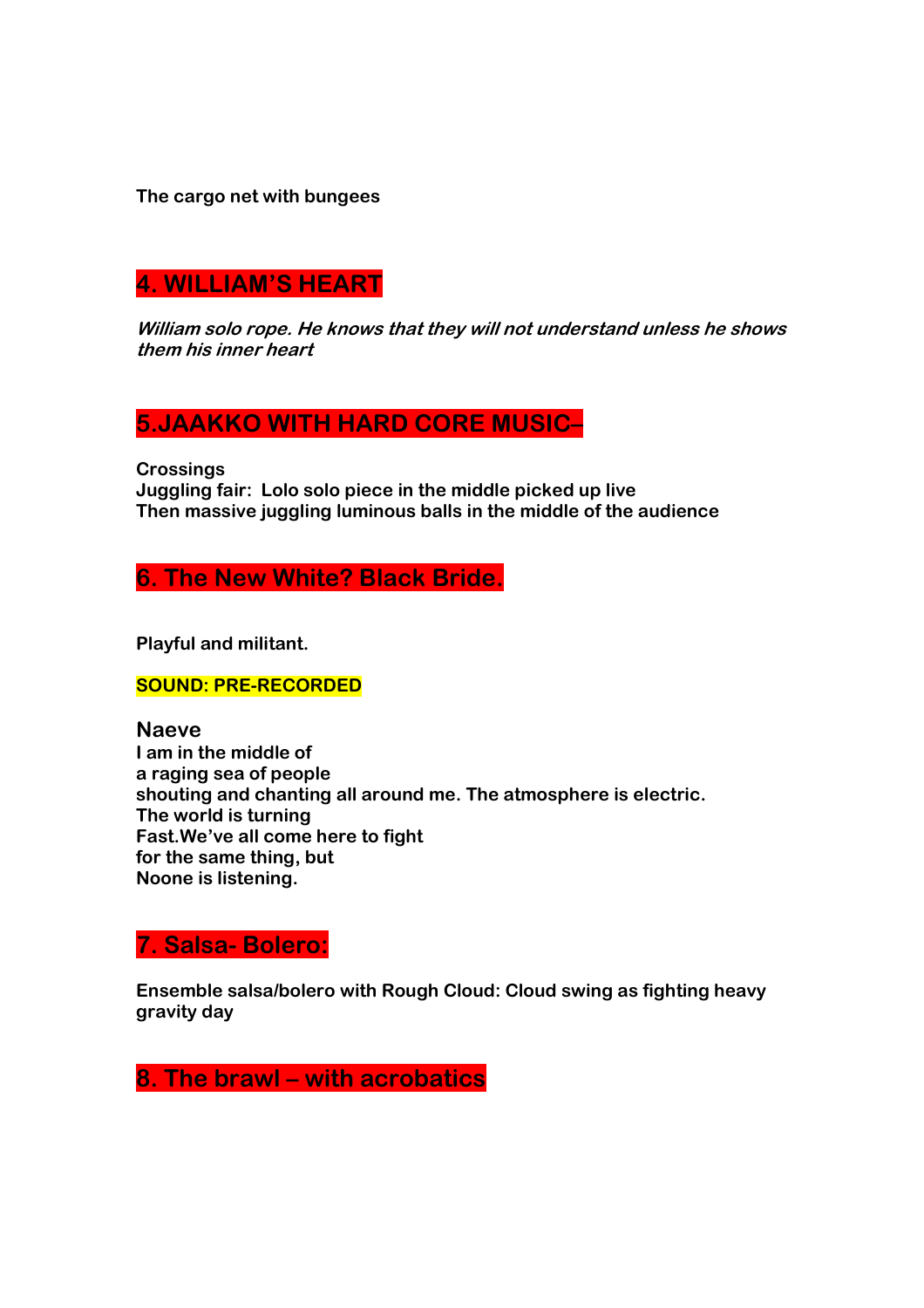**The cargo net with bungees** 

# **4. WILLIAM'S HEART**

**William solo rope. He knows that they will not understand unless he shows them his inner heart** 

# **5.JAAKKO WITH HARD CORE MUSIC–**

**Crossings** 

**Juggling fair: Lolo solo piece in the middle picked up live Then massive juggling luminous balls in the middle of the audience** 

**6. The New White? Black Bride.** 

**Playful and militant.** 

## **SOUND: PRE-RECORDED**

## **Naeve**

**I am in the middle of a raging sea of people shouting and chanting all around me. The atmosphere is electric. The world is turning Fast.We've all come here to fight for the same thing, but Noone is listening.** 

## **7. Salsa- Bolero:**

**Ensemble salsa/bolero with Rough Cloud: Cloud swing as fighting heavy gravity day** 

**8. The brawl – with acrobatics**